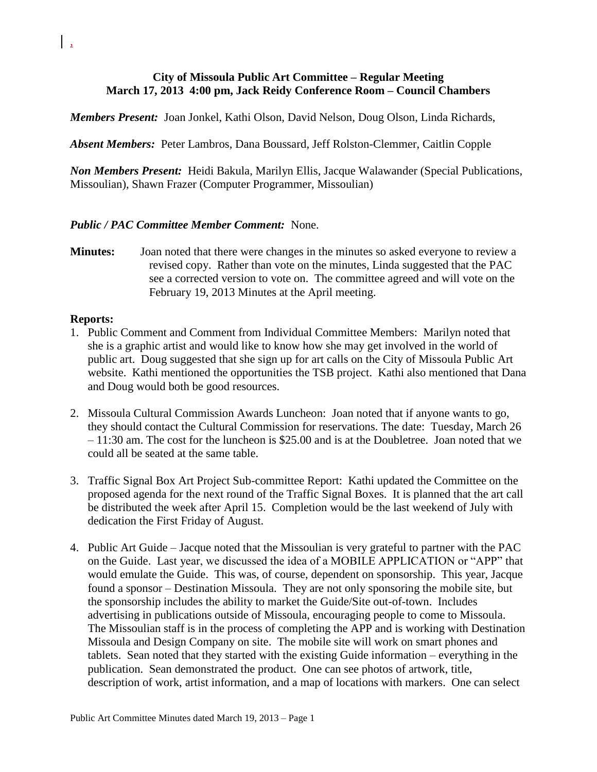## **City of Missoula Public Art Committee – Regular Meeting March 17, 2013 4:00 pm, Jack Reidy Conference Room – Council Chambers**

*Members Present:* Joan Jonkel, Kathi Olson, David Nelson, Doug Olson, Linda Richards,

*Absent Members:* Peter Lambros, Dana Boussard, Jeff Rolston-Clemmer, Caitlin Copple

*Non Members Present:* Heidi Bakula, Marilyn Ellis, Jacque Walawander (Special Publications, Missoulian), Shawn Frazer (Computer Programmer, Missoulian)

## *Public / PAC Committee Member Comment:* None.

**Minutes:** Joan noted that there were changes in the minutes so asked everyone to review a revised copy. Rather than vote on the minutes, Linda suggested that the PAC see a corrected version to vote on. The committee agreed and will vote on the February 19, 2013 Minutes at the April meeting.

## **Reports:**

- 1. Public Comment and Comment from Individual Committee Members: Marilyn noted that she is a graphic artist and would like to know how she may get involved in the world of public art. Doug suggested that she sign up for art calls on the City of Missoula Public Art website. Kathi mentioned the opportunities the TSB project. Kathi also mentioned that Dana and Doug would both be good resources.
- 2. Missoula Cultural Commission Awards Luncheon: Joan noted that if anyone wants to go, they should contact the Cultural Commission for reservations. The date: Tuesday, March 26 – 11:30 am. The cost for the luncheon is \$25.00 and is at the Doubletree. Joan noted that we could all be seated at the same table.
- 3. Traffic Signal Box Art Project Sub-committee Report: Kathi updated the Committee on the proposed agenda for the next round of the Traffic Signal Boxes. It is planned that the art call be distributed the week after April 15. Completion would be the last weekend of July with dedication the First Friday of August.
- 4. Public Art Guide Jacque noted that the Missoulian is very grateful to partner with the PAC on the Guide. Last year, we discussed the idea of a MOBILE APPLICATION or "APP" that would emulate the Guide. This was, of course, dependent on sponsorship. This year, Jacque found a sponsor – Destination Missoula. They are not only sponsoring the mobile site, but the sponsorship includes the ability to market the Guide/Site out-of-town. Includes advertising in publications outside of Missoula, encouraging people to come to Missoula. The Missoulian staff is in the process of completing the APP and is working with Destination Missoula and Design Company on site. The mobile site will work on smart phones and tablets. Sean noted that they started with the existing Guide information – everything in the publication. Sean demonstrated the product. One can see photos of artwork, title, description of work, artist information, and a map of locations with markers. One can select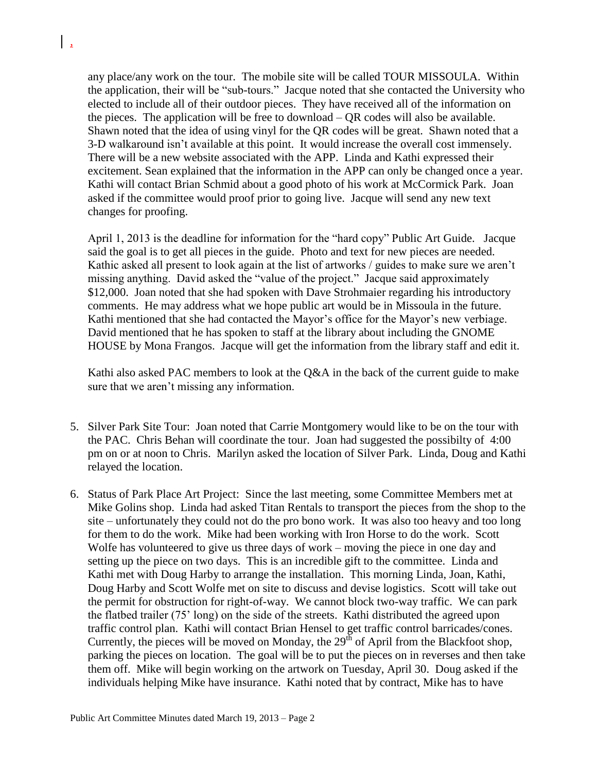any place/any work on the tour. The mobile site will be called TOUR MISSOULA. Within the application, their will be "sub-tours." Jacque noted that she contacted the University who elected to include all of their outdoor pieces. They have received all of the information on the pieces. The application will be free to download – QR codes will also be available. Shawn noted that the idea of using vinyl for the QR codes will be great. Shawn noted that a 3-D walkaround isn't available at this point. It would increase the overall cost immensely. There will be a new website associated with the APP. Linda and Kathi expressed their excitement. Sean explained that the information in the APP can only be changed once a year. Kathi will contact Brian Schmid about a good photo of his work at McCormick Park. Joan asked if the committee would proof prior to going live. Jacque will send any new text changes for proofing.

April 1, 2013 is the deadline for information for the "hard copy" Public Art Guide. Jacque said the goal is to get all pieces in the guide. Photo and text for new pieces are needed. Kathic asked all present to look again at the list of artworks / guides to make sure we aren't missing anything. David asked the "value of the project." Jacque said approximately \$12,000. Joan noted that she had spoken with Dave Strohmaier regarding his introductory comments. He may address what we hope public art would be in Missoula in the future. Kathi mentioned that she had contacted the Mayor's office for the Mayor's new verbiage. David mentioned that he has spoken to staff at the library about including the GNOME HOUSE by Mona Frangos. Jacque will get the information from the library staff and edit it.

Kathi also asked PAC members to look at the Q&A in the back of the current guide to make sure that we aren't missing any information.

- 5. Silver Park Site Tour: Joan noted that Carrie Montgomery would like to be on the tour with the PAC. Chris Behan will coordinate the tour. Joan had suggested the possibilty of 4:00 pm on or at noon to Chris. Marilyn asked the location of Silver Park. Linda, Doug and Kathi relayed the location.
- 6. Status of Park Place Art Project: Since the last meeting, some Committee Members met at Mike Golins shop. Linda had asked Titan Rentals to transport the pieces from the shop to the site – unfortunately they could not do the pro bono work. It was also too heavy and too long for them to do the work. Mike had been working with Iron Horse to do the work. Scott Wolfe has volunteered to give us three days of work – moving the piece in one day and setting up the piece on two days. This is an incredible gift to the committee. Linda and Kathi met with Doug Harby to arrange the installation. This morning Linda, Joan, Kathi, Doug Harby and Scott Wolfe met on site to discuss and devise logistics. Scott will take out the permit for obstruction for right-of-way. We cannot block two-way traffic. We can park the flatbed trailer (75' long) on the side of the streets. Kathi distributed the agreed upon traffic control plan. Kathi will contact Brian Hensel to get traffic control barricades/cones. Currently, the pieces will be moved on Monday, the  $29<sup>th</sup>$  of April from the Blackfoot shop, parking the pieces on location. The goal will be to put the pieces on in reverses and then take them off. Mike will begin working on the artwork on Tuesday, April 30. Doug asked if the individuals helping Mike have insurance. Kathi noted that by contract, Mike has to have

 $\frac{1}{2}$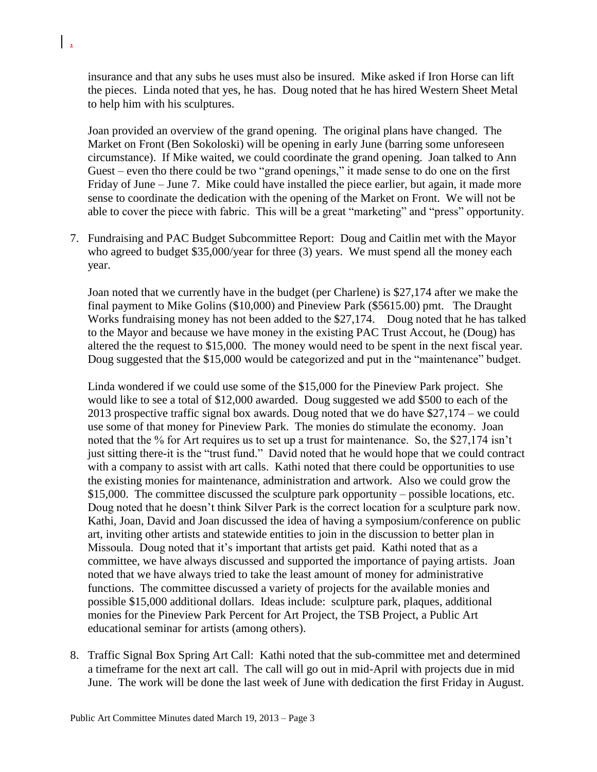insurance and that any subs he uses must also be insured. Mike asked if Iron Horse can lift the pieces. Linda noted that yes, he has. Doug noted that he has hired Western Sheet Metal to help him with his sculptures.

 $\frac{1}{2}$ 

Joan provided an overview of the grand opening. The original plans have changed. The Market on Front (Ben Sokoloski) will be opening in early June (barring some unforeseen circumstance). If Mike waited, we could coordinate the grand opening. Joan talked to Ann Guest – even tho there could be two "grand openings," it made sense to do one on the first Friday of June – June 7. Mike could have installed the piece earlier, but again, it made more sense to coordinate the dedication with the opening of the Market on Front. We will not be able to cover the piece with fabric. This will be a great "marketing" and "press" opportunity.

7. Fundraising and PAC Budget Subcommittee Report: Doug and Caitlin met with the Mayor who agreed to budget \$35,000/year for three (3) years. We must spend all the money each year.

Joan noted that we currently have in the budget (per Charlene) is \$27,174 after we make the final payment to Mike Golins (\$10,000) and Pineview Park (\$5615.00) pmt. The Draught Works fundraising money has not been added to the \$27,174. Doug noted that he has talked to the Mayor and because we have money in the existing PAC Trust Accout, he (Doug) has altered the the request to \$15,000. The money would need to be spent in the next fiscal year. Doug suggested that the \$15,000 would be categorized and put in the "maintenance" budget.

Linda wondered if we could use some of the \$15,000 for the Pineview Park project. She would like to see a total of \$12,000 awarded. Doug suggested we add \$500 to each of the 2013 prospective traffic signal box awards. Doug noted that we do have \$27,174 – we could use some of that money for Pineview Park. The monies do stimulate the economy. Joan noted that the % for Art requires us to set up a trust for maintenance. So, the \$27,174 isn't just sitting there-it is the "trust fund." David noted that he would hope that we could contract with a company to assist with art calls. Kathi noted that there could be opportunities to use the existing monies for maintenance, administration and artwork. Also we could grow the \$15,000. The committee discussed the sculpture park opportunity – possible locations, etc. Doug noted that he doesn't think Silver Park is the correct location for a sculpture park now. Kathi, Joan, David and Joan discussed the idea of having a symposium/conference on public art, inviting other artists and statewide entities to join in the discussion to better plan in Missoula. Doug noted that it's important that artists get paid. Kathi noted that as a committee, we have always discussed and supported the importance of paying artists. Joan noted that we have always tried to take the least amount of money for administrative functions. The committee discussed a variety of projects for the available monies and possible \$15,000 additional dollars. Ideas include: sculpture park, plaques, additional monies for the Pineview Park Percent for Art Project, the TSB Project, a Public Art educational seminar for artists (among others).

8. Traffic Signal Box Spring Art Call: Kathi noted that the sub-committee met and determined a timeframe for the next art call. The call will go out in mid-April with projects due in mid June. The work will be done the last week of June with dedication the first Friday in August.